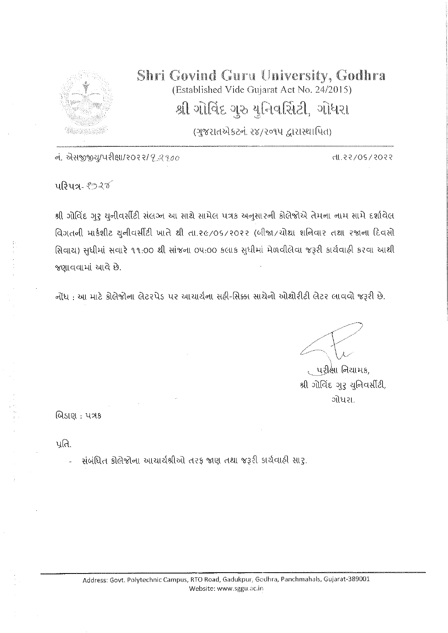

## Shri Govind Guru University, Godhra (Established Vide Gujarat Act No. 24/2015) શ્રી ગોવિંદ ગુરુ યુનિવર્સિટી, ગોધરા

(ગુજરાતએકટનં. ૨૪/૨૦૧૫ દ્વારાસ્થાપિત)

નં. એસજીજીયુ/પરીક્ષા/૨૦૨૨/*૧2200* 

SS05\20\S5.1h

<u>uरि</u>ua- १९२४

શ્રી ગોવિંદ ગુરુ યુનીવર્સીટી સંલઝ્ન આ સાથે સામેલ પત્રક અનુસારની કોલેજોએ તેમના નામ સામે દર્શાવેલ વિગતની માર્કશીટ યુનીવર્સીટી ખાતે થી તા.૨૯/૦૬/૨૦૨૨ (બીજા/ચોથા શનિવાર તથા રજાના દિવસો સિવાય) સુધીમાં સવારે ૧૧.૦૦ થી સાંજના ૦૫.૦૦ કલાક સુધીમાં મેળવીલેવા જરૂરી કાર્યવાહી કરવા આથી જણાવવામાં આવે છે.

નોંધ: આ માટે કોલેજોના લેટરપેડ પર આચાર્યના સફી-સિક્કા સાથેનો ઓથોરીટી લેટર લાવવો જરૂરી છે.

<sub>€</sub> પરીક્ષા નિયામક, શ્રી ગોવિંદ ગુરુ યુનિવર્સીટી, ગોધરા

બિડાણ : પત્રક

પ્રતિ.

સંબંધિત કોલેજોના આચાર્યશ્રીઓ તરફ જાણ તથા જરૂરી કાર્યવાહી સારૃ.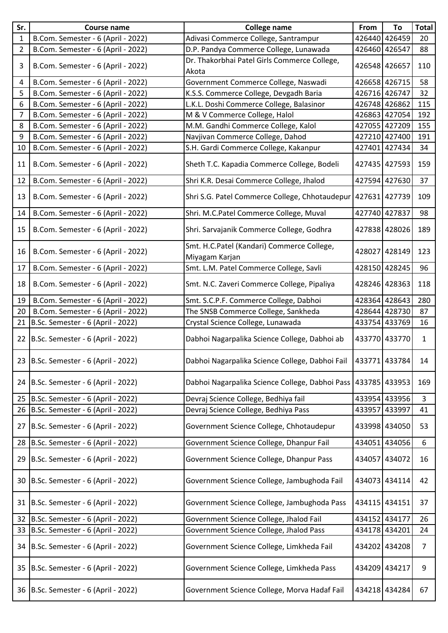| Sr.          | <b>Course name</b>                   | <b>College name</b>                                          | From | To            | <b>Total</b> |
|--------------|--------------------------------------|--------------------------------------------------------------|------|---------------|--------------|
| $\mathbf{1}$ | B.Com. Semester - 6 (April - 2022)   | Adivasi Commerce College, Santrampur                         |      | 426440 426459 | 20           |
| 2            | B.Com. Semester - 6 (April - 2022)   | D.P. Pandya Commerce College, Lunawada                       |      | 426460 426547 | 88           |
| 3            | B.Com. Semester - 6 (April - 2022)   | Dr. Thakorbhai Patel Girls Commerce College,<br>Akota        |      | 426548 426657 | 110          |
| 4            | B.Com. Semester - 6 (April - 2022)   | Government Commerce College, Naswadi                         |      | 426658 426715 | 58           |
| 5            | B.Com. Semester - 6 (April - 2022)   | K.S.S. Commerce College, Devgadh Baria                       |      | 426716 426747 | 32           |
| 6            | B.Com. Semester - 6 (April - 2022)   | L.K.L. Doshi Commerce College, Balasinor                     |      | 426748 426862 | 115          |
| 7            | B.Com. Semester - 6 (April - 2022)   | M & V Commerce College, Halol                                |      | 426863 427054 | 192          |
| 8            | B.Com. Semester - 6 (April - 2022)   | M.M. Gandhi Commerce College, Kalol                          |      | 427055 427209 | 155          |
| 9            | B.Com. Semester - 6 (April - 2022)   | Navjivan Commerce College, Dahod                             |      | 427210 427400 | 191          |
| 10           | B.Com. Semester - 6 (April - 2022)   | S.H. Gardi Commerce College, Kakanpur                        |      | 427401 427434 | 34           |
| 11           | B.Com. Semester - 6 (April - 2022)   | Sheth T.C. Kapadia Commerce College, Bodeli                  |      | 427435 427593 | 159          |
| 12           | B.Com. Semester - 6 (April - 2022)   | Shri K.R. Desai Commerce College, Jhalod                     |      | 427594 427630 | 37           |
| 13           | B.Com. Semester - 6 (April - 2022)   | Shri S.G. Patel Commerce College, Chhotaudepur 427631 427739 |      |               | 109          |
| 14           | B.Com. Semester - 6 (April - 2022)   | Shri. M.C.Patel Commerce College, Muval                      |      | 427740 427837 | 98           |
| 15           | B.Com. Semester - 6 (April - 2022)   | Shri. Sarvajanik Commerce College, Godhra                    |      | 427838 428026 | 189          |
| 16           | B.Com. Semester - 6 (April - 2022)   | Smt. H.C.Patel (Kandari) Commerce College,<br>Miyagam Karjan |      | 428027 428149 | 123          |
| 17           | B.Com. Semester - 6 (April - 2022)   | Smt. L.M. Patel Commerce College, Savli                      |      | 428150 428245 | 96           |
| 18           | B.Com. Semester - 6 (April - 2022)   | Smt. N.C. Zaveri Commerce College, Pipaliya                  |      | 428246 428363 | 118          |
| 19           | B.Com. Semester - 6 (April - 2022)   | Smt. S.C.P.F. Commerce College, Dabhoi                       |      | 428364 428643 | 280          |
| 20           | B.Com. Semester - 6 (April - 2022)   | The SNSB Commerce College, Sankheda                          |      | 428644 428730 | 87           |
| 21           | B.Sc. Semester - 6 (April - 2022)    | Crystal Science College, Lunawada                            |      | 433754 433769 | 16           |
|              | 22 B.Sc. Semester - 6 (April - 2022) | Dabhoi Nagarpalika Science College, Dabhoi ab                |      | 433770 433770 | $\mathbf{1}$ |
|              | 23 B.Sc. Semester - 6 (April - 2022) | Dabhoi Nagarpalika Science College, Dabhoi Fail              |      | 433771 433784 | 14           |
| 24           | B.Sc. Semester - 6 (April - 2022)    | Dabhoi Nagarpalika Science College, Dabhoi Pass              |      | 433785 433953 | 169          |
| 25           | B.Sc. Semester - 6 (April - 2022)    | Devraj Science College, Bedhiya fail                         |      | 433954 433956 | 3            |
| 26           | B.Sc. Semester - 6 (April - 2022)    | Devraj Science College, Bedhiya Pass                         |      | 433957 433997 | 41           |
| 27           | B.Sc. Semester - 6 (April - 2022)    | Government Science College, Chhotaudepur                     |      | 433998 434050 | 53           |
| 28           | B.Sc. Semester - 6 (April - 2022)    | Government Science College, Dhanpur Fail                     |      | 434051 434056 | 6            |
| 29           | B.Sc. Semester - 6 (April - 2022)    | Government Science College, Dhanpur Pass                     |      | 434057 434072 | 16           |
| 30           | B.Sc. Semester - 6 (April - 2022)    | Government Science College, Jambughoda Fail                  |      | 434073 434114 | 42           |
| 31           | B.Sc. Semester - 6 (April - 2022)    | Government Science College, Jambughoda Pass                  |      | 434115 434151 | 37           |
|              | 32 B.Sc. Semester - 6 (April - 2022) | Government Science College, Jhalod Fail                      |      | 434152 434177 | 26           |
| 33           | B.Sc. Semester - 6 (April - 2022)    | Government Science College, Jhalod Pass                      |      | 434178 434201 | 24           |
| 34           | B.Sc. Semester - 6 (April - 2022)    | Government Science College, Limkheda Fail                    |      | 434202 434208 | 7            |
| 35 I         | B.Sc. Semester - 6 (April - 2022)    | Government Science College, Limkheda Pass                    |      | 434209 434217 | 9            |
|              | 36 B.Sc. Semester - 6 (April - 2022) | Government Science College, Morva Hadaf Fail                 |      | 434218 434284 | 67           |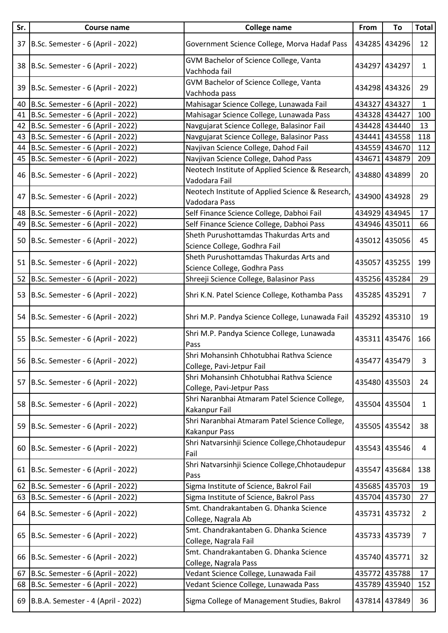| Sr. | <b>Course name</b>                    | <b>College name</b>                                                     | From | To            | <b>Total</b>   |
|-----|---------------------------------------|-------------------------------------------------------------------------|------|---------------|----------------|
| 37  | B.Sc. Semester - 6 (April - 2022)     | Government Science College, Morva Hadaf Pass                            |      | 434285 434296 | 12             |
|     | 38 B.Sc. Semester - 6 (April - 2022)  | GVM Bachelor of Science College, Vanta<br>Vachhoda fail                 |      | 434297 434297 | $\mathbf{1}$   |
| 39  | B.Sc. Semester - 6 (April - 2022)     | GVM Bachelor of Science College, Vanta<br>Vachhoda pass                 |      | 434298 434326 | 29             |
| 40  | B.Sc. Semester - 6 (April - 2022)     | Mahisagar Science College, Lunawada Fail                                |      | 434327 434327 | $\mathbf{1}$   |
| 41  | B.Sc. Semester - 6 (April - 2022)     | Mahisagar Science College, Lunawada Pass                                |      | 434328 434427 | 100            |
| 42  | B.Sc. Semester - 6 (April - 2022)     | Navgujarat Science College, Balasinor Fail                              |      | 434428 434440 | 13             |
| 43  | B.Sc. Semester - 6 (April - 2022)     | Navgujarat Science College, Balasinor Pass                              |      | 434441 434558 | 118            |
| 44  | B.Sc. Semester - 6 (April - 2022)     | Navjivan Science College, Dahod Fail                                    |      | 434559 434670 | 112            |
|     | 45 B.Sc. Semester - 6 (April - 2022)  | Navjivan Science College, Dahod Pass                                    |      | 434671 434879 | 209            |
|     | 46 B.Sc. Semester - 6 (April - 2022)  | Neotech Institute of Applied Science & Research,<br>Vadodara Fail       |      | 434880 434899 | 20             |
| 47  | B.Sc. Semester - 6 (April - 2022)     | Neotech Institute of Applied Science & Research,<br>Vadodara Pass       |      | 434900 434928 | 29             |
|     | 48 B.Sc. Semester - 6 (April - 2022)  | Self Finance Science College, Dabhoi Fail                               |      | 434929 434945 | 17             |
| 49  | B.Sc. Semester - 6 (April - 2022)     | Self Finance Science College, Dabhoi Pass                               |      | 434946 435011 | 66             |
|     | 50 B.Sc. Semester - 6 (April - 2022)  | Sheth Purushottamdas Thakurdas Arts and<br>Science College, Godhra Fail |      | 435012 435056 | 45             |
|     | 51 B.Sc. Semester - 6 (April - 2022)  | Sheth Purushottamdas Thakurdas Arts and<br>Science College, Godhra Pass |      | 435057 435255 | 199            |
| 52  | B.Sc. Semester - 6 (April - 2022)     | Shreeji Science College, Balasinor Pass                                 |      | 435256 435284 | 29             |
|     | 53 B.Sc. Semester - 6 (April - 2022)  | Shri K.N. Patel Science College, Kothamba Pass                          |      | 435285 435291 | $\overline{7}$ |
|     | 54 B.Sc. Semester - 6 (April - 2022)  | Shri M.P. Pandya Science College, Lunawada Fail                         |      | 435292 435310 | 19             |
|     | 55 B.Sc. Semester - 6 (April - 2022)  | Shri M.P. Pandya Science College, Lunawada<br>Pass                      |      | 435311 435476 | 166            |
|     | 56 B.Sc. Semester - 6 (April - 2022)  | Shri Mohansinh Chhotubhai Rathva Science<br>College, Pavi-Jetpur Fail   |      | 435477 435479 | 3              |
| 57  | B.Sc. Semester - 6 (April - 2022)     | Shri Mohansinh Chhotubhai Rathva Science<br>College, Pavi-Jetpur Pass   |      | 435480 435503 | 24             |
|     | 58 B.Sc. Semester - 6 (April - 2022)  | Shri Naranbhai Atmaram Patel Science College,<br>Kakanpur Fail          |      | 435504 435504 | $\mathbf{1}$   |
|     | 59 B.Sc. Semester - 6 (April - 2022)  | Shri Naranbhai Atmaram Patel Science College,<br>Kakanpur Pass          |      | 435505 435542 | 38             |
|     | 60 B.Sc. Semester - 6 (April - 2022)  | Shri Natvarsinhji Science College, Chhotaudepur<br>Fail                 |      | 435543 435546 | 4              |
|     | 61 B.Sc. Semester - 6 (April - 2022)  | Shri Natvarsinhji Science College, Chhotaudepur<br>Pass                 |      | 435547 435684 | 138            |
| 62  | B.Sc. Semester - 6 (April - 2022)     | Sigma Institute of Science, Bakrol Fail                                 |      | 435685 435703 | 19             |
| 63  | B.Sc. Semester - 6 (April - 2022)     | Sigma Institute of Science, Bakrol Pass                                 |      | 435704 435730 | 27             |
|     | 64 B.Sc. Semester - 6 (April - 2022)  | Smt. Chandrakantaben G. Dhanka Science<br>College, Nagrala Ab           |      | 435731 435732 | $\overline{2}$ |
| 65  | B.Sc. Semester - 6 (April - 2022)     | Smt. Chandrakantaben G. Dhanka Science<br>College, Nagrala Fail         |      | 435733 435739 | 7              |
|     | 66 B.Sc. Semester - 6 (April - 2022)  | Smt. Chandrakantaben G. Dhanka Science<br>College, Nagrala Pass         |      | 435740 435771 | 32             |
| 67  | B.Sc. Semester - 6 (April - 2022)     | Vedant Science College, Lunawada Fail                                   |      | 435772 435788 | 17             |
| 68  | B.Sc. Semester - 6 (April - 2022)     | Vedant Science College, Lunawada Pass                                   |      | 435789 435940 | 152            |
|     | 69 B.B.A. Semester - 4 (April - 2022) | Sigma College of Management Studies, Bakrol                             |      | 437814 437849 | 36             |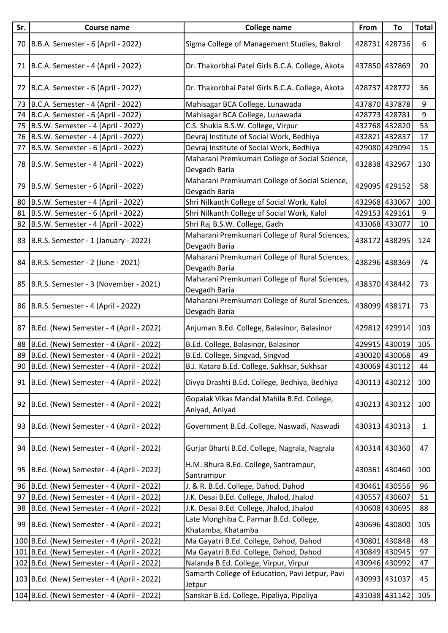| Sr. | <b>Course name</b>                          | <b>College name</b>                                             | From | To            | <b>Total</b> |
|-----|---------------------------------------------|-----------------------------------------------------------------|------|---------------|--------------|
| 70  | B.B.A. Semester - 6 (April - 2022)          | Sigma College of Management Studies, Bakrol                     |      | 428731 428736 | 6            |
| 71  | B.C.A. Semester - 4 (April - 2022)          | Dr. Thakorbhai Patel Girls B.C.A. College, Akota                |      | 437850 437869 | 20           |
|     | 72 B.C.A. Semester - 6 (April - 2022)       | Dr. Thakorbhai Patel Girls B.C.A. College, Akota                |      | 428737 428772 | 36           |
| 73  | B.C.A. Semester - 4 (April - 2022)          | Mahisagar BCA College, Lunawada                                 |      | 437870 437878 | 9            |
| 74  | B.C.A. Semester - 6 (April - 2022)          | Mahisagar BCA College, Lunawada                                 |      | 428773 428781 | 9            |
| 75  | B.S.W. Semester - 4 (April - 2022)          | C.S. Shukla B.S.W. College, Virpur                              |      | 432768 432820 | 53           |
|     | 76 B.S.W. Semester - 4 (April - 2022)       | Devraj Institute of Social Work, Bedhiya                        |      | 432821 432837 | 17           |
| 77  | B.S.W. Semester - 6 (April - 2022)          | Devraj Institute of Social Work, Bedhiya                        |      | 429080 429094 | 15           |
|     | 78 B.S.W. Semester - 4 (April - 2022)       | Maharani Premkumari College of Social Science,<br>Devgadh Baria |      | 432838 432967 | 130          |
| 79  | B.S.W. Semester - 6 (April - 2022)          | Maharani Premkumari College of Social Science,<br>Devgadh Baria |      | 429095 429152 | 58           |
| 80  | B.S.W. Semester - 4 (April - 2022)          | Shri Nilkanth College of Social Work, Kalol                     |      | 432968 433067 | 100          |
| 81  | B.S.W. Semester - 6 (April - 2022)          | Shri Nilkanth College of Social Work, Kalol                     |      | 429153 429161 | 9            |
| 82  | B.S.W. Semester - 4 (April - 2022)          | Shri Raj B.S.W. College, Gadh                                   |      | 433068 433077 | 10           |
| 83  | B.R.S. Semester - 1 (January - 2022)        | Maharani Premkumari College of Rural Sciences,<br>Devgadh Baria |      | 438172 438295 | 124          |
| 84  | B.R.S. Semester - 2 (June - 2021)           | Maharani Premkumari College of Rural Sciences,<br>Devgadh Baria |      | 438296 438369 | 74           |
|     | 85 B.R.S. Semester - 3 (November - 2021)    | Maharani Premkumari College of Rural Sciences,<br>Devgadh Baria |      | 438370 438442 | 73           |
| 86  | B.R.S. Semester - 4 (April - 2022)          | Maharani Premkumari College of Rural Sciences,<br>Devgadh Baria |      | 438099 438171 | 73           |
| 87  | B.Ed. (New) Semester - 4 (April - 2022)     | Anjuman B.Ed. College, Balasinor, Balasinor                     |      | 429812 429914 | 103          |
| 88  | B.Ed. (New) Semester - 4 (April - 2022)     | B.Ed. College, Balasinor, Balasinor                             |      | 429915 430019 | 105          |
| 89  | B.Ed. (New) Semester - 4 (April - 2022)     | B.Ed. College, Singvad, Singvad                                 |      | 430020 430068 | 49           |
|     | 90 B.Ed. (New) Semester - 4 (April - 2022)  | B.J. Katara B.Ed. College, Sukhsar, Sukhsar                     |      | 430069 430112 | 44           |
| 91  | B.Ed. (New) Semester - 4 (April - 2022)     | Divya Drashti B.Ed. College, Bedhiya, Bedhiya                   |      | 430113 430212 | 100          |
|     | 92 B.Ed. (New) Semester - 4 (April - 2022)  | Gopalak Vikas Mandal Mahila B.Ed. College,<br>Aniyad, Aniyad    |      | 430213 430312 | 100          |
|     | 93 B.Ed. (New) Semester - 4 (April - 2022)  | Government B.Ed. College, Naswadi, Naswadi                      |      | 430313 430313 | 1            |
| 94  | B.Ed. (New) Semester - 4 (April - 2022)     | Gurjar Bharti B.Ed. College, Nagrala, Nagrala                   |      | 430314 430360 | 47           |
|     | 95 B.Ed. (New) Semester - 4 (April - 2022)  | H.M. Bhura B.Ed. College, Santrampur,<br>Santrampur             |      | 430361 430460 | 100          |
| 96  | B.Ed. (New) Semester - 4 (April - 2022)     | J. & R. B.Ed. College, Dahod, Dahod                             |      | 430461 430556 | 96           |
| 97  | B.Ed. (New) Semester - 4 (April - 2022)     | J.K. Desai B.Ed. College, Jhalod, Jhalod                        |      | 430557 430607 | 51           |
|     | 98 B.Ed. (New) Semester - 4 (April - 2022)  | J.K. Desai B.Ed. College, Jhalod, Jhalod                        |      | 430608 430695 | 88           |
|     | 99 B.Ed. (New) Semester - 4 (April - 2022)  | Late Monghiba C. Parmar B.Ed. College,<br>Khatamba, Khatamba    |      | 430696 430800 | 105          |
|     | 100 B.Ed. (New) Semester - 4 (April - 2022) | Ma Gayatri B.Ed. College, Dahod, Dahod                          |      | 430801 430848 | 48           |
|     | 101 B.Ed. (New) Semester - 4 (April - 2022) | Ma Gayatri B.Ed. College, Dahod, Dahod                          |      | 430849 430945 | 97           |
|     | 102 B.Ed. (New) Semester - 4 (April - 2022) | Nalanda B.Ed. College, Virpur, Virpur                           |      | 430946 430992 | 47           |
|     | 103 B.Ed. (New) Semester - 4 (April - 2022) | Samarth College of Education, Pavi Jetpur, Pavi<br>Jetpur       |      | 430993 431037 | 45           |
|     | 104 B.Ed. (New) Semester - 4 (April - 2022) | Sanskar B.Ed. College, Pipaliya, Pipaliya                       |      | 431038 431142 | 105          |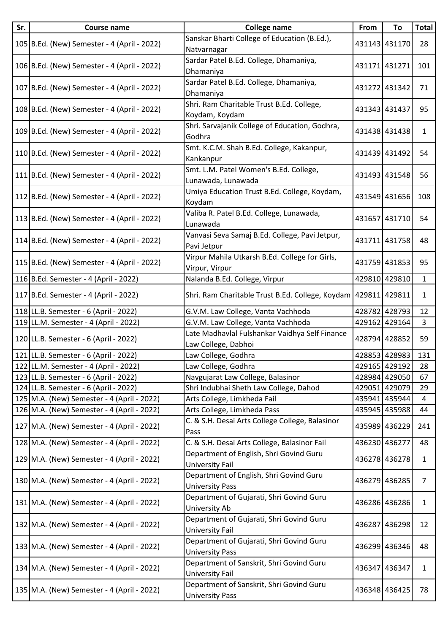| Sr. | <b>Course name</b>                          | <b>College name</b>                                                   | From | To            | <b>Total</b>   |
|-----|---------------------------------------------|-----------------------------------------------------------------------|------|---------------|----------------|
|     | 105 B.Ed. (New) Semester - 4 (April - 2022) | Sanskar Bharti College of Education (B.Ed.),<br>Natvarnagar           |      | 431143 431170 | 28             |
|     | 106 B.Ed. (New) Semester - 4 (April - 2022) | Sardar Patel B.Ed. College, Dhamaniya,<br>Dhamaniya                   |      | 431171 431271 | 101            |
|     | 107 B.Ed. (New) Semester - 4 (April - 2022) | Sardar Patel B.Ed. College, Dhamaniya,<br>Dhamaniya                   |      | 431272 431342 | 71             |
|     | 108 B.Ed. (New) Semester - 4 (April - 2022) | Shri. Ram Charitable Trust B.Ed. College,<br>Koydam, Koydam           |      | 431343 431437 | 95             |
|     | 109 B.Ed. (New) Semester - 4 (April - 2022) | Shri. Sarvajanik College of Education, Godhra,<br>Godhra              |      | 431438 431438 | $\mathbf{1}$   |
|     | 110 B.Ed. (New) Semester - 4 (April - 2022) | Smt. K.C.M. Shah B.Ed. College, Kakanpur,<br>Kankanpur                |      | 431439 431492 | 54             |
|     | 111 B.Ed. (New) Semester - 4 (April - 2022) | Smt. L.M. Patel Women's B.Ed. College,<br>Lunawada, Lunawada          |      | 431493 431548 | 56             |
|     | 112 B.Ed. (New) Semester - 4 (April - 2022) | Umiya Education Trust B.Ed. College, Koydam,<br>Koydam                |      | 431549 431656 | 108            |
|     | 113 B.Ed. (New) Semester - 4 (April - 2022) | Valiba R. Patel B.Ed. College, Lunawada,<br>Lunawada                  |      | 431657 431710 | 54             |
|     | 114 B.Ed. (New) Semester - 4 (April - 2022) | Vanvasi Seva Samaj B.Ed. College, Pavi Jetpur,<br>Pavi Jetpur         |      | 431711 431758 | 48             |
|     | 115 B.Ed. (New) Semester - 4 (April - 2022) | Virpur Mahila Utkarsh B.Ed. College for Girls,<br>Virpur, Virpur      |      | 431759 431853 | 95             |
|     | 116 B.Ed. Semester - 4 (April - 2022)       | Nalanda B.Ed. College, Virpur                                         |      | 429810 429810 | $\mathbf{1}$   |
|     | 117 B.Ed. Semester - 4 (April - 2022)       | Shri. Ram Charitable Trust B.Ed. College, Koydam   429811   429811    |      |               | $\mathbf{1}$   |
|     | 118 LL.B. Semester - 6 (April - 2022)       | G.V.M. Law College, Vanta Vachhoda                                    |      | 428782 428793 | 12             |
|     | 119 LL.M. Semester - 4 (April - 2022)       | G.V.M. Law College, Vanta Vachhoda                                    |      | 429162 429164 | 3              |
|     | 120 LL.B. Semester - 6 (April - 2022)       | Late Madhavlal Fulshankar Vaidhya Self Finance<br>Law College, Dabhoi |      | 428794 428852 | 59             |
|     | 121 LL.B. Semester - 6 (April - 2022)       | Law College, Godhra                                                   |      | 428853 428983 | 131            |
|     | 122 LL.M. Semester - 4 (April - 2022)       | Law College, Godhra                                                   |      | 429165 429192 | 28             |
|     | 123 LL.B. Semester - 6 (April - 2022)       | Navgujarat Law College, Balasinor                                     |      | 428984 429050 | 67             |
|     | 124 LL.B. Semester - 6 (April - 2022)       | Shri Indubhai Sheth Law College, Dahod                                |      | 429051 429079 | 29             |
|     | 125 M.A. (New) Semester - 4 (April - 2022)  | Arts College, Limkheda Fail                                           |      | 435941 435944 | 4              |
|     | 126 M.A. (New) Semester - 4 (April - 2022)  | Arts College, Limkheda Pass                                           |      | 435945 435988 | 44             |
|     | 127 M.A. (New) Semester - 4 (April - 2022)  | C. & S.H. Desai Arts College College, Balasinor<br>Pass               |      | 435989 436229 | 241            |
|     | 128 M.A. (New) Semester - 4 (April - 2022)  | C. & S.H. Desai Arts College, Balasinor Fail                          |      | 436230 436277 | 48             |
|     | 129 M.A. (New) Semester - 4 (April - 2022)  | Department of English, Shri Govind Guru<br>University Fail            |      | 436278 436278 | $\mathbf{1}$   |
|     | 130 M.A. (New) Semester - 4 (April - 2022)  | Department of English, Shri Govind Guru<br><b>University Pass</b>     |      | 436279 436285 | $\overline{7}$ |
|     | 131 M.A. (New) Semester - 4 (April - 2022)  | Department of Gujarati, Shri Govind Guru<br>University Ab             |      | 436286 436286 | $\mathbf{1}$   |
|     | 132 M.A. (New) Semester - 4 (April - 2022)  | Department of Gujarati, Shri Govind Guru<br>University Fail           |      | 436287 436298 | 12             |
|     | 133 M.A. (New) Semester - 4 (April - 2022)  | Department of Gujarati, Shri Govind Guru<br><b>University Pass</b>    |      | 436299 436346 | 48             |
|     | 134 M.A. (New) Semester - 4 (April - 2022)  | Department of Sanskrit, Shri Govind Guru<br>University Fail           |      | 436347 436347 | $\mathbf{1}$   |
|     | 135 M.A. (New) Semester - 4 (April - 2022)  | Department of Sanskrit, Shri Govind Guru<br><b>University Pass</b>    |      | 436348 436425 | 78             |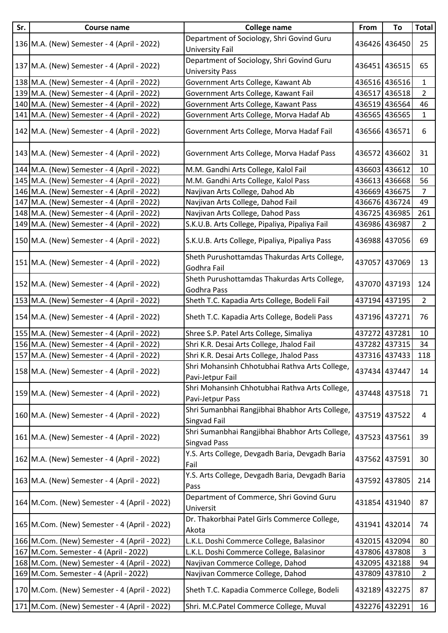| Sr. | Course name                                  | <b>College name</b>                                                    | From | To            | <b>Total</b>   |
|-----|----------------------------------------------|------------------------------------------------------------------------|------|---------------|----------------|
|     | 136 M.A. (New) Semester - 4 (April - 2022)   | Department of Sociology, Shri Govind Guru<br>University Fail           |      | 436426 436450 | 25             |
|     | 137 M.A. (New) Semester - 4 (April - 2022)   | Department of Sociology, Shri Govind Guru<br><b>University Pass</b>    |      | 436451 436515 | 65             |
|     | 138 M.A. (New) Semester - 4 (April - 2022)   | Government Arts College, Kawant Ab                                     |      | 436516 436516 | $\mathbf{1}$   |
|     | 139 M.A. (New) Semester - 4 (April - 2022)   | Government Arts College, Kawant Fail                                   |      | 436517 436518 | $\overline{2}$ |
|     | 140 M.A. (New) Semester - 4 (April - 2022)   | Government Arts College, Kawant Pass                                   |      | 436519 436564 | 46             |
|     | 141 M.A. (New) Semester - 4 (April - 2022)   | Government Arts College, Morva Hadaf Ab                                |      | 436565 436565 | $\mathbf{1}$   |
|     | 142 M.A. (New) Semester - 4 (April - 2022)   | Government Arts College, Morva Hadaf Fail                              |      | 436566 436571 | 6              |
|     | 143 M.A. (New) Semester - 4 (April - 2022)   | Government Arts College, Morva Hadaf Pass                              |      | 436572 436602 | 31             |
|     | 144 M.A. (New) Semester - 4 (April - 2022)   | M.M. Gandhi Arts College, Kalol Fail                                   |      | 436603 436612 | 10             |
|     | 145 M.A. (New) Semester - 4 (April - 2022)   | M.M. Gandhi Arts College, Kalol Pass                                   |      | 436613 436668 | 56             |
|     | 146 M.A. (New) Semester - 4 (April - 2022)   | Navjivan Arts College, Dahod Ab                                        |      | 436669 436675 | $\overline{7}$ |
| 147 | M.A. (New) Semester - 4 (April - 2022)       | Navjivan Arts College, Dahod Fail                                      |      | 436676 436724 | 49             |
|     | 148 M.A. (New) Semester - 4 (April - 2022)   | Navjivan Arts College, Dahod Pass                                      |      | 436725 436985 | 261            |
|     | 149 M.A. (New) Semester - 4 (April - 2022)   | S.K.U.B. Arts College, Pipaliya, Pipaliya Fail                         |      | 436986 436987 | $\overline{2}$ |
|     | 150 M.A. (New) Semester - 4 (April - 2022)   | S.K.U.B. Arts College, Pipaliya, Pipaliya Pass                         |      | 436988 437056 | 69             |
|     | 151 M.A. (New) Semester - 4 (April - 2022)   | Sheth Purushottamdas Thakurdas Arts College,<br>Godhra Fail            |      | 437057 437069 | 13             |
|     | 152 M.A. (New) Semester - 4 (April - 2022)   | Sheth Purushottamdas Thakurdas Arts College,<br>Godhra Pass            |      | 437070 437193 | 124            |
|     | 153 M.A. (New) Semester - 4 (April - 2022)   | Sheth T.C. Kapadia Arts College, Bodeli Fail                           |      | 437194 437195 | $\overline{2}$ |
|     | 154 M.A. (New) Semester - 4 (April - 2022)   | Sheth T.C. Kapadia Arts College, Bodeli Pass                           |      | 437196 437271 | 76             |
|     | 155 M.A. (New) Semester - 4 (April - 2022)   | Shree S.P. Patel Arts College, Simaliya                                |      | 437272 437281 | 10             |
|     | 156 M.A. (New) Semester - 4 (April - 2022)   | Shri K.R. Desai Arts College, Jhalod Fail                              |      | 437282 437315 | 34             |
|     | 157 M.A. (New) Semester - 4 (April - 2022)   | Shri K.R. Desai Arts College, Jhalod Pass                              |      | 437316 437433 | 118            |
|     | 158 M.A. (New) Semester - 4 (April - 2022)   | Shri Mohansinh Chhotubhai Rathva Arts College,<br>Pavi-Jetpur Fail     |      | 437434 437447 | 14             |
|     | 159 M.A. (New) Semester - 4 (April - 2022)   | Shri Mohansinh Chhotubhai Rathva Arts College,<br>Pavi-Jetpur Pass     |      | 437448 437518 | 71             |
|     | 160 M.A. (New) Semester - 4 (April - 2022)   | Shri Sumanbhai Rangjibhai Bhabhor Arts College,<br>Singvad Fail        |      | 437519 437522 | 4              |
|     | 161 M.A. (New) Semester - 4 (April - 2022)   | Shri Sumanbhai Rangjibhai Bhabhor Arts College,<br><b>Singvad Pass</b> |      | 437523 437561 | 39             |
|     | 162 M.A. (New) Semester - 4 (April - 2022)   | Y.S. Arts College, Devgadh Baria, Devgadh Baria<br>Fail                |      | 437562 437591 | 30             |
|     | 163 M.A. (New) Semester - 4 (April - 2022)   | Y.S. Arts College, Devgadh Baria, Devgadh Baria<br>Pass                |      | 437592 437805 | 214            |
|     | 164 M.Com. (New) Semester - 4 (April - 2022) | Department of Commerce, Shri Govind Guru<br>Universit                  |      | 431854 431940 | 87             |
|     | 165 M.Com. (New) Semester - 4 (April - 2022) | Dr. Thakorbhai Patel Girls Commerce College,<br>Akota                  |      | 431941 432014 | 74             |
|     | 166 M.Com. (New) Semester - 4 (April - 2022) | L.K.L. Doshi Commerce College, Balasinor                               |      | 432015 432094 | 80             |
|     | 167 M.Com. Semester - 4 (April - 2022)       | L.K.L. Doshi Commerce College, Balasinor                               |      | 437806 437808 | 3              |
|     | 168 M.Com. (New) Semester - 4 (April - 2022) | Navjivan Commerce College, Dahod                                       |      | 432095 432188 | 94             |
|     | 169 M.Com. Semester - 4 (April - 2022)       | Navjivan Commerce College, Dahod                                       |      | 437809 437810 | $\overline{2}$ |
|     | 170 M.Com. (New) Semester - 4 (April - 2022) | Sheth T.C. Kapadia Commerce College, Bodeli                            |      | 432189 432275 | 87             |
|     | 171 M.Com. (New) Semester - 4 (April - 2022) | Shri. M.C.Patel Commerce College, Muval                                |      | 432276 432291 | 16             |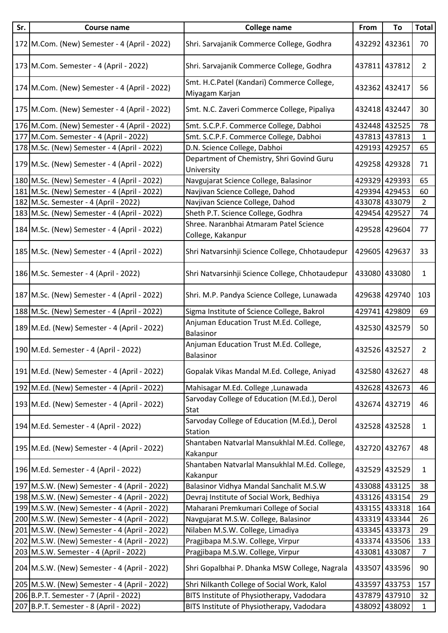| Sr. | <b>Course name</b>                             | <b>College name</b>                                            | From          | To            | <b>Total</b>   |
|-----|------------------------------------------------|----------------------------------------------------------------|---------------|---------------|----------------|
|     | 172 M.Com. (New) Semester - 4 (April - 2022)   | Shri. Sarvajanik Commerce College, Godhra                      |               | 432292 432361 | 70             |
|     | 173 M.Com. Semester - 4 (April - 2022)         | Shri. Sarvajanik Commerce College, Godhra                      |               | 437811 437812 | $\overline{2}$ |
|     | 174 M.Com. (New) Semester - 4 (April - 2022)   | Smt. H.C.Patel (Kandari) Commerce College,<br>Miyagam Karjan   |               | 432362 432417 | 56             |
|     | 175 M.Com. (New) Semester - 4 (April - 2022)   | Smt. N.C. Zaveri Commerce College, Pipaliya                    |               | 432418 432447 | 30             |
|     | 176 M.Com. (New) Semester - 4 (April - 2022)   | Smt. S.C.P.F. Commerce College, Dabhoi                         |               | 432448 432525 | 78             |
|     | 177 M.Com. Semester - 4 (April - 2022)         | Smt. S.C.P.F. Commerce College, Dabhoi                         |               | 437813 437813 | $\mathbf{1}$   |
|     | 178 M.Sc. (New) Semester - 4 (April - 2022)    | D.N. Science College, Dabhoi                                   | 429193 429257 |               | 65             |
|     | 179 M.Sc. (New) Semester - 4 (April - 2022)    | Department of Chemistry, Shri Govind Guru<br>University        |               | 429258 429328 | 71             |
|     | 180 M.Sc. (New) Semester - 4 (April - 2022)    | Navgujarat Science College, Balasinor                          |               | 429329 429393 | 65             |
|     | 181 M.Sc. (New) Semester - 4 (April - 2022)    | Navjivan Science College, Dahod                                |               | 429394 429453 | 60             |
|     | 182 M.Sc. Semester - 4 (April - 2022)          | Navjivan Science College, Dahod                                |               | 433078 433079 | 2              |
|     | 183 M.Sc. (New) Semester - 4 (April - 2022)    | Sheth P.T. Science College, Godhra                             | 429454 429527 |               | 74             |
|     | 184 M.Sc. (New) Semester - 4 (April - 2022)    | Shree. Naranbhai Atmaram Patel Science<br>College, Kakanpur    |               | 429528 429604 | 77             |
|     | 185 M.Sc. (New) Semester - 4 (April - 2022)    | Shri Natvarsinhji Science College, Chhotaudepur                |               | 429605 429637 | 33             |
|     | 186 M.Sc. Semester - 4 (April - 2022)          | Shri Natvarsinhji Science College, Chhotaudepur                |               | 433080 433080 | $\mathbf{1}$   |
|     | 187 M.Sc. (New) Semester - 4 (April - 2022)    | Shri. M.P. Pandya Science College, Lunawada                    |               | 429638 429740 | 103            |
|     | 188 M.Sc. (New) Semester - 4 (April - 2022)    | Sigma Institute of Science College, Bakrol                     |               | 429741 429809 | 69             |
|     | 189 M.Ed. (New) Semester - 4 (April - 2022)    | Anjuman Education Trust M.Ed. College,<br><b>Balasinor</b>     |               | 432530 432579 | 50             |
|     | 190 M.Ed. Semester - 4 (April - 2022)          | Anjuman Education Trust M.Ed. College,<br>Balasinor            |               | 432526 432527 | $\overline{2}$ |
|     | 191   M.Ed. (New) Semester - 4 (April - 2022)  | Gopalak Vikas Mandal M.Ed. College, Aniyad                     |               | 432580 432627 | 48             |
|     | 192 M.Ed. (New) Semester - 4 (April - 2022)    | Mahisagar M.Ed. College, Lunawada                              |               | 432628 432673 | 46             |
|     | 193 M.Ed. (New) Semester - 4 (April - 2022)    | Sarvoday College of Education (M.Ed.), Derol<br>Stat           |               | 432674 432719 | 46             |
|     | 194 M.Ed. Semester - 4 (April - 2022)          | Sarvoday College of Education (M.Ed.), Derol<br><b>Station</b> |               | 432528 432528 | $\mathbf{1}$   |
|     | 195 M.Ed. (New) Semester - 4 (April - 2022)    | Shantaben Natvarlal Mansukhlal M.Ed. College,<br>Kakanpur      |               | 432720 432767 | 48             |
|     | 196 M.Ed. Semester - 4 (April - 2022)          | Shantaben Natvarlal Mansukhlal M.Ed. College,<br>Kakanpur      |               | 432529 432529 | 1              |
|     | 197 M.S.W. (New) Semester - 4 (April - 2022)   | Balasinor Vidhya Mandal Sanchalit M.S.W                        |               | 433088 433125 | 38             |
|     | 198 M.S.W. (New) Semester - 4 (April - 2022)   | Devraj Institute of Social Work, Bedhiya                       |               | 433126 433154 | 29             |
|     | 199 M.S.W. (New) Semester - 4 (April - 2022)   | Maharani Premkumari College of Social                          |               | 433155 433318 | 164            |
|     | 200 M.S.W. (New) Semester - 4 (April - 2022)   | Navgujarat M.S.W. College, Balasinor                           |               | 433319 433344 | 26             |
|     | 201   M.S.W. (New) Semester - 4 (April - 2022) | Nilaben M.S.W. College, Limadiya                               |               | 433345 433373 | 29             |
|     | 202 M.S.W. (New) Semester - 4 (April - 2022)   | Pragjibapa M.S.W. College, Virpur                              |               | 433374 433506 | 133            |
|     | 203 M.S.W. Semester - 4 (April - 2022)         | Pragjibapa M.S.W. College, Virpur                              | 433081 433087 |               | $\overline{7}$ |
|     | 204 M.S.W. (New) Semester - 4 (April - 2022)   | Shri Gopalbhai P. Dhanka MSW College, Nagrala                  |               | 433507 433596 | 90             |
|     | 205   M.S.W. (New) Semester - 4 (April - 2022) | Shri Nilkanth College of Social Work, Kalol                    |               | 433597 433753 | 157            |
|     | 206 B.P.T. Semester - 7 (April - 2022)         | BITS Institute of Physiotherapy, Vadodara                      |               | 437879 437910 | 32             |
|     | 207 B.P.T. Semester - 8 (April - 2022)         | BITS Institute of Physiotherapy, Vadodara                      |               | 438092 438092 | $\mathbf{1}$   |